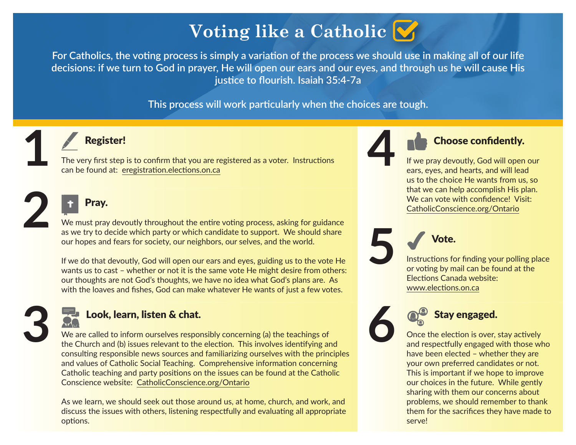# **Voting like a Catholic**

**For Catholics, the voting process is simply a variation of the process we should use in making all of our life decisions: if we turn to God in prayer, He will open our ears and our eyes, and through us he will cause His justice to flourish. Isaiah 35:4-7a**

**This process will work particularly when the choices are tough.**



**2**

### Register!

The very first step is to confirm that you are registered as a voter. Instructions can be found at: [eregistration.elections.on.ca](https://eregistration.elections.on.ca)

## Pray.

We must pray devoutly throughout the entire voting process, asking for guidance as we try to decide which party or which candidate to support. We should share our hopes and fears for society, our neighbors, our selves, and the world.

If we do that devoutly, God will open our ears and eyes, guiding us to the vote He wants us to cast – whether or not it is the same vote He might desire from others: our thoughts are not God's thoughts, we have no idea what God's plans are. As with the loaves and fishes, God can make whatever He wants of just a few votes.



## Look, learn, listen & chat.

We are called to inform ourselves responsibly concerning (a) the teachings of the Church and (b) issues relevant to the election. This involves identifying and consulting responsible news sources and familiarizing ourselves with the principles and values of Catholic Social Teaching. Comprehensive information concerning Catholic teaching and party positions on the issues can be found at the Catholic Conscience website: [CatholicConscience.org/Ontario](http://catholicconscience.org/ontario)

As we learn, we should seek out those around us, at home, church, and work, and discuss the issues with others, listening respectfully and evaluating all appropriate options.



**5**

**6**

# Choose confidently.

If we pray devoutly, God will open our ears, eyes, and hearts, and will lead us to the choice He wants from us, so that we can help accomplish His plan. We can vote with confidence! Visit: [CatholicConscience.org/Ontario](http://catholicconscience.org/ontario)

Instructions for finding your polling place or voting by mail can be found at the Elections Canada website: [www.elections.on.ca](http://www.elections.on.ca/)



Vote.

Once the election is over, stay actively and respectfully engaged with those who have been elected – whether they are your own preferred candidates or not. This is important if we hope to improve our choices in the future. While gently sharing with them our concerns about problems, we should remember to thank them for the sacrifices they have made to serve!